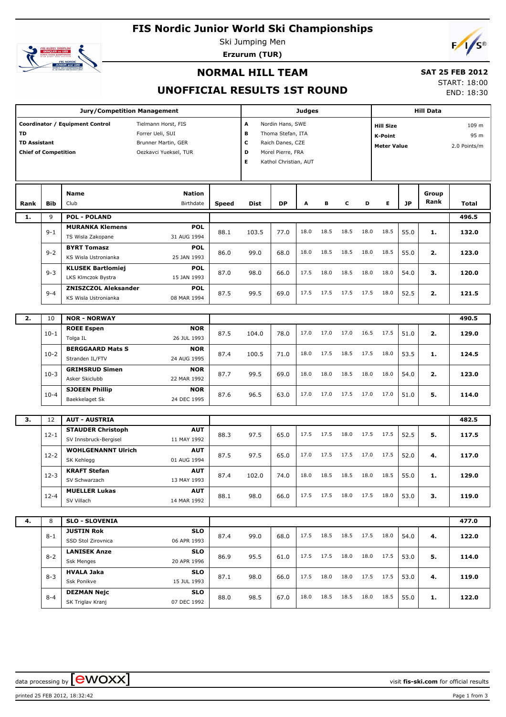# **FIS Nordic Junior World Ski Championships**



Ski Jumping Men **Erzurum (TUR)**



END: 18:30

#### **NORMAL HILL TEAM**

#### **SAT 25 FEB 2012** START: 18:00

**UNOFFICIAL RESULTS 1ST ROUND**

|                                                                                                                                                                                        |                | <b>Judges</b><br>A<br>Nordin Hans, SWE<br>в<br>Thoma Stefan, ITA<br>c<br>Raich Danes, CZE<br>D<br>Morel Pierre, FRA<br>Е<br>Kathol Christian, AUT |                           |              |       |           |      | Hill Data |                                                          |      |      |                               |               |                |
|----------------------------------------------------------------------------------------------------------------------------------------------------------------------------------------|----------------|---------------------------------------------------------------------------------------------------------------------------------------------------|---------------------------|--------------|-------|-----------|------|-----------|----------------------------------------------------------|------|------|-------------------------------|---------------|----------------|
| Coordinator / Equipment Control<br>Tielmann Horst, FIS<br>TD<br>Forrer Ueli, SUI<br><b>TD Assistant</b><br>Brunner Martin, GER<br><b>Chief of Competition</b><br>Oezkavci Yueksel, TUR |                |                                                                                                                                                   |                           |              |       |           |      |           | <b>Hill Size</b><br><b>K-Point</b><br><b>Meter Value</b> |      |      | 109 m<br>95 m<br>2.0 Points/m |               |                |
| Rank                                                                                                                                                                                   | <b>Bib</b>     | <b>Name</b><br>Club                                                                                                                               | Nation<br>Birthdate       | <b>Speed</b> | Dist  | <b>DP</b> | A    | в         | с                                                        | D    | E.   | <b>JP</b>                     | Group<br>Rank | Total          |
| 1.                                                                                                                                                                                     | 9              | <b>POL - POLAND</b>                                                                                                                               |                           |              |       |           |      |           |                                                          |      |      |                               |               | 496.5          |
|                                                                                                                                                                                        | $9 - 1$        | <b>MURANKA Klemens</b><br>TS Wisla Zakopane                                                                                                       | <b>POL</b><br>31 AUG 1994 | 88.1         | 103.5 | 77.0      | 18.0 | 18.5      | 18.5                                                     | 18.0 | 18.5 | 55.0                          | 1.            | 132.0          |
|                                                                                                                                                                                        | $9 - 2$        | <b>BYRT Tomasz</b><br>KS Wisla Ustronianka                                                                                                        | <b>POL</b><br>25 JAN 1993 | 86.0         | 99.0  | 68.0      | 18.0 | 18.5      | 18.5                                                     | 18.0 | 18.5 | 55.0                          | 2.            | 123.0          |
|                                                                                                                                                                                        | $9 - 3$        | <b>KLUSEK Bartlomiej</b><br>LKS Klmczok Bystra                                                                                                    | <b>POL</b><br>15 JAN 1993 | 87.0         | 98.0  | 66.0      | 17.5 | 18.0      | 18.5                                                     | 18.0 | 18.0 | 54.0                          | З.            | 120.0          |
|                                                                                                                                                                                        | $9 - 4$        | <b>ZNISZCZOL Aleksander</b><br>KS Wisla Ustronianka                                                                                               | <b>POL</b><br>08 MAR 1994 | 87.5         | 99.5  | 69.0      | 17.5 | 17.5      | 17.5                                                     | 17.5 | 18.0 | 52.5                          | 2.            | 121.5          |
|                                                                                                                                                                                        |                |                                                                                                                                                   |                           |              |       |           |      |           |                                                          |      |      |                               |               |                |
| 2.                                                                                                                                                                                     | 10<br>$10 - 1$ | <b>NOR - NORWAY</b><br><b>ROEE Espen</b>                                                                                                          | <b>NOR</b>                | 87.5         | 104.0 | 78.0      | 17.0 | 17.0      | 17.0                                                     | 16.5 | 17.5 | 51.0                          | 2.            | 490.5<br>129.0 |
|                                                                                                                                                                                        | $10-2$         | Tolga IL<br><b>BERGGAARD Mats S</b>                                                                                                               | 26 JUL 1993<br><b>NOR</b> | 87.4         | 100.5 | 71.0      | 18.0 | 17.5      | 18.5                                                     | 17.5 | 18.0 | 53.5                          | 1.            | 124.5          |
|                                                                                                                                                                                        | $10-3$         | Stranden IL/FTV<br><b>GRIMSRUD Simen</b>                                                                                                          | 24 AUG 1995<br><b>NOR</b> | 87.7         | 99.5  | 69.0      | 18.0 | 18.0      | 18.5                                                     | 18.0 | 18.0 | 54.0                          | 2.            | 123.0          |
|                                                                                                                                                                                        | $10 - 4$       | Asker Skiclubb<br><b>SJOEEN Phillip</b>                                                                                                           | 22 MAR 1992<br><b>NOR</b> | 87.6         | 96.5  | 63.0      | 17.0 | 17.0      | 17.5                                                     | 17.0 | 17.0 | 51.0                          | 5.            | 114.0          |
|                                                                                                                                                                                        |                | Baekkelaget Sk                                                                                                                                    | 24 DEC 1995               |              |       |           |      |           |                                                          |      |      |                               |               |                |
| 3.                                                                                                                                                                                     | 12             | <b>AUT - AUSTRIA</b>                                                                                                                              |                           |              |       |           |      |           |                                                          |      |      |                               |               | 482.5          |
|                                                                                                                                                                                        |                | <b>STAUDER Christoph</b>                                                                                                                          | <b>AUT</b>                |              |       |           |      |           |                                                          |      |      |                               |               |                |
|                                                                                                                                                                                        | $12 - 1$       | SV Innsbruck-Bergisel                                                                                                                             | 11 MAY 1992               | 88.3         | 97.5  | 65.0      | 17.5 | 17.5      | 18.0                                                     | 17.5 | 17.5 | 52.5                          | 5.            | 117.5          |
|                                                                                                                                                                                        | $12 - 2$       | <b>WOHLGENANNT Ulrich</b><br>SK Kehlegg                                                                                                           | <b>AUT</b><br>01 AUG 1994 | 87.5         | 97.5  | 65.0      | 17.0 | 17.5      | 17.5                                                     | 17.0 | 17.5 | 52.0                          | 4.            | 117.0          |
|                                                                                                                                                                                        | $12-3$         | <b>KRAFT Stefan</b><br>SV Schwarzach                                                                                                              | <b>AUT</b><br>13 MAY 1993 | 87.4         | 102.0 | 74.0      | 18.0 | 18.5      | 18.5                                                     | 18.0 | 18.5 | 55.0                          | 1.            | 129.0          |
|                                                                                                                                                                                        | $12 - 4$       | <b>MUELLER Lukas</b><br>SV Villach                                                                                                                | <b>AUT</b><br>14 MAR 1992 | 88.1         | 98.0  | 66.0      | 17.5 | 17.5      | 18.0                                                     | 17.5 | 18.0 | 53.0                          | З.            | 119.0          |
|                                                                                                                                                                                        |                |                                                                                                                                                   |                           |              |       |           |      |           |                                                          |      |      |                               |               |                |
| 4.                                                                                                                                                                                     | 8              | <b>SLO - SLOVENIA</b>                                                                                                                             |                           |              |       |           |      |           |                                                          |      |      |                               |               | 477.0          |
|                                                                                                                                                                                        | $8 - 1$        | <b>JUSTIN Rok</b><br>SSD Stol Zirovnica                                                                                                           | <b>SLO</b><br>06 APR 1993 | 87.4         | 99.0  | 68.0      | 17.5 | 18.5      | 18.5                                                     | 17.5 | 18.0 | 54.0                          | 4.            | 122.0          |
|                                                                                                                                                                                        | $8 - 2$        | <b>LANISEK Anze</b><br><b>Ssk Menges</b>                                                                                                          | <b>SLO</b><br>20 APR 1996 | 86.9         | 95.5  | 61.0      | 17.5 | 17.5      | 18.0                                                     | 18.0 | 17.5 | 53.0                          | 5.            | 114.0          |
|                                                                                                                                                                                        | $8 - 3$        | HVALA Jaka<br>Ssk Ponikve                                                                                                                         | <b>SLO</b><br>15 JUL 1993 | 87.1         | 98.0  | 66.0      | 17.5 | 18.0      | 18.0                                                     | 17.5 | 17.5 | 53.0                          | 4.            | 119.0          |
|                                                                                                                                                                                        | $8 - 4$        | <b>DEZMAN Nejc</b><br>SK Triglav Kranj                                                                                                            | <b>SLO</b><br>07 DEC 1992 | 88.0         | 98.5  | 67.0      | 18.0 | 18.5      | 18.5                                                     | 18.0 | 18.5 | 55.0                          | 1.            | 122.0          |

data processing by **CWOXX**  $\blacksquare$  and  $\blacksquare$  and  $\blacksquare$  and  $\blacksquare$  and  $\blacksquare$  and  $\blacksquare$  and  $\blacksquare$  and  $\blacksquare$  and  $\blacksquare$  and  $\blacksquare$  and  $\blacksquare$  and  $\blacksquare$  and  $\blacksquare$  and  $\blacksquare$  and  $\blacksquare$  and  $\blacksquare$  and  $\blacksquare$  and  $\blacksquare$  a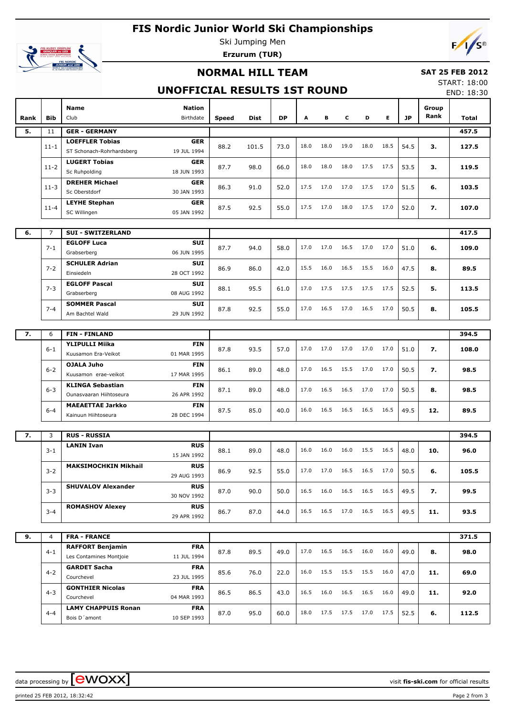# **FIS Nordic Junior World Ski Championships**



Ski Jumping Men **Erzurum (TUR)**

## **NORMAL HILL TEAM**

#### **SAT 25 FEB 2012**

## **UNOFFICIAL RESULTS 1ST ROUND**

START: 18:00 END: 18:30

| Rank | Bib            | Name<br>Club                                        | <b>Nation</b><br>Birthdate | Speed | Dist  | <b>DP</b> | Α    | в    | c    | D    | E.   | JP   | Group<br>Rank | <b>Total</b> |
|------|----------------|-----------------------------------------------------|----------------------------|-------|-------|-----------|------|------|------|------|------|------|---------------|--------------|
| 5.   | 11             | <b>GER - GERMANY</b>                                |                            |       |       |           |      |      |      |      |      |      | 457.5         |              |
|      | $11 - 1$       | <b>LOEFFLER Tobias</b><br>ST Schonach-Rohrhardsberg | <b>GER</b><br>19 JUL 1994  | 88.2  | 101.5 | 73.0      | 18.0 | 18.0 | 19.0 | 18.0 | 18.5 | 54.5 | з.            | 127.5        |
|      | $11 - 2$       | <b>LUGERT Tobias</b><br>Sc Ruhpolding               | <b>GER</b><br>18 JUN 1993  | 87.7  | 98.0  | 66.0      | 18.0 | 18.0 | 18.0 | 17.5 | 17.5 | 53.5 | з.            | 119.5        |
|      | $11 - 3$       | <b>DREHER Michael</b><br>Sc Oberstdorf              | <b>GER</b><br>30 JAN 1993  | 86.3  | 91.0  | 52.0      | 17.5 | 17.0 | 17.0 | 17.5 | 17.0 | 51.5 | 6.            | 103.5        |
|      | $11 - 4$       | <b>LEYHE Stephan</b><br>SC Willingen                | <b>GER</b><br>05 JAN 1992  | 87.5  | 92.5  | 55.0      | 17.5 | 17.0 | 18.0 | 17.5 | 17.0 | 52.0 | 7.            | 107.0        |
|      |                |                                                     |                            |       |       |           |      |      |      |      |      |      |               |              |
| 6.   | $\overline{7}$ | <b>SUI - SWITZERLAND</b>                            |                            |       |       |           |      |      |      |      |      |      |               | 417.5        |
|      | $7 - 1$        | <b>EGLOFF Luca</b><br>Grabserberg                   | <b>SUI</b><br>06 JUN 1995  | 87.7  | 94.0  | 58.0      | 17.0 | 17.0 | 16.5 | 17.0 | 17.0 | 51.0 | 6.            | 109.0        |
|      | $7 - 2$        | <b>SCHULER Adrian</b><br>Einsiedeln                 | <b>SUI</b><br>28 OCT 1992  | 86.9  | 86.0  | 42.0      | 15.5 | 16.0 | 16.5 | 15.5 | 16.0 | 47.5 | 8.            | 89.5         |
|      | $7 - 3$        | <b>EGLOFF Pascal</b><br>Grabserberg                 | <b>SUI</b><br>08 AUG 1992  | 88.1  | 95.5  | 61.0      | 17.0 | 17.5 | 17.5 | 17.5 | 17.5 | 52.5 | 5.            | 113.5        |
|      | $7 - 4$        | <b>SOMMER Pascal</b><br>Am Bachtel Wald             | <b>SUI</b><br>29 JUN 1992  | 87.8  | 92.5  | 55.0      | 17.0 | 16.5 | 17.0 | 16.5 | 17.0 | 50.5 | 8.            | 105.5        |
|      |                |                                                     |                            |       |       |           |      |      |      |      |      |      |               |              |
| 7.   | 6              | <b>FIN-FINLAND</b>                                  |                            |       |       |           |      |      |      |      |      |      |               | 394.5        |
|      | $6 - 1$        | <b>YLIPULLI Miika</b><br>Kuusamon Era-Veikot        | <b>FIN</b><br>01 MAR 1995  | 87.8  | 93.5  | 57.0      | 17.0 | 17.0 | 17.0 | 17.0 | 17.0 | 51.0 | 7.            | 108.0        |
|      | $6 - 2$        | <b>OJALA Juho</b><br>Kuusamon erae-veikot           | <b>FIN</b><br>17 MAR 1995  | 86.1  | 89.0  | 48.0      | 17.0 | 16.5 | 15.5 | 17.0 | 17.0 | 50.5 | 7.            | 98.5         |
|      | $6 - 3$        | <b>KLINGA Sebastian</b><br>Ounasvaaran Hiihtoseura  | <b>FIN</b><br>26 APR 1992  | 87.1  | 89.0  | 48.0      | 17.0 | 16.5 | 16.5 | 17.0 | 17.0 | 50.5 | 8.            | 98.5         |
|      | $6 - 4$        | <b>MAEAETTAE Jarkko</b><br>Kainuun Hiihtoseura      | <b>FIN</b><br>28 DEC 1994  | 87.5  | 85.0  | 40.0      | 16.0 | 16.5 | 16.5 | 16.5 | 16.5 | 49.5 | 12.           | 89.5         |
|      |                |                                                     |                            |       |       |           |      |      |      |      |      |      |               |              |
| 7.   | 3              | <b>RUS - RUSSIA</b>                                 |                            |       |       |           |      |      |      |      |      |      |               | 394.5        |
|      | $3 - 1$        | <b>LANIN Ivan</b>                                   | <b>RUS</b><br>15 JAN 1992  | 88.1  | 89.0  | 48.0      | 16.0 | 16.0 | 16.0 | 15.5 | 16.5 | 48.0 | 10.           | 96.0         |
|      | $3 - 2$        | <b>MAKSIMOCHKIN Mikhail</b>                         | <b>RUS</b><br>29 AUG 1993  | 86.9  | 92.5  | 55.0      | 17.0 | 17.0 | 16.5 | 16.5 | 17.0 | 50.5 | 6.            | 105.5        |
|      | $3 - 3$        | <b>SHUVALOV Alexander</b>                           | <b>RUS</b><br>30 NOV 1992  | 87.0  | 90.0  | 50.0      | 16.5 | 16.0 | 16.5 | 16.5 | 16.5 | 49.5 | 7.            | 99.5         |
|      | $3 - 4$        | <b>ROMASHOV Alexey</b>                              | <b>RUS</b><br>29 APR 1992  | 86.7  | 87.0  | 44.0      | 16.5 | 16.5 | 17.0 | 16.5 | 16.5 | 49.5 | 11.           | 93.5         |
|      |                |                                                     |                            |       |       |           |      |      |      |      |      |      |               |              |
| 9.   | $\overline{4}$ | <b>FRA - FRANCE</b>                                 |                            |       |       |           |      |      |      |      |      |      |               | 371.5        |
|      | $4 - 1$        | <b>RAFFORT Benjamin</b><br>Les Contamines Montjoie  | <b>FRA</b><br>11 JUL 1994  | 87.8  | 89.5  | 49.0      | 17.0 | 16.5 | 16.5 | 16.0 | 16.0 | 49.0 | 8.            | 98.0         |
|      | $4 - 2$        | <b>GARDET Sacha</b><br>Courchevel                   | <b>FRA</b><br>23 JUL 1995  | 85.6  | 76.0  | 22.0      | 16.0 | 15.5 | 15.5 | 15.5 | 16.0 | 47.0 | 11.           | 69.0         |
|      | $4 - 3$        | <b>GONTHIER Nicolas</b><br>Courchevel               | <b>FRA</b><br>04 MAR 1993  | 86.5  | 86.5  | 43.0      | 16.5 | 16.0 | 16.5 | 16.5 | 16.0 | 49.0 | 11.           | 92.0         |
|      | $4 - 4$        | <b>LAMY CHAPPUIS Ronan</b><br>Bois D'amont          | <b>FRA</b><br>10 SEP 1993  | 87.0  | 95.0  | 60.0      | 18.0 | 17.5 | 17.5 | 17.0 | 17.5 | 52.5 | 6.            | 112.5        |